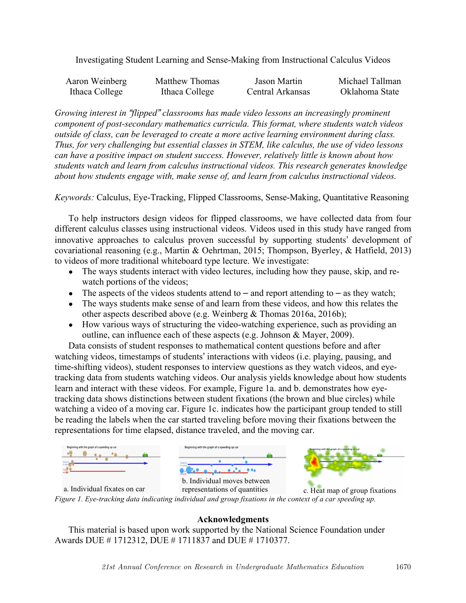Investigating Student Learning and Sense-Making from Instructional Calculus Videos

| Aaron Weinberg | <b>Matthew Thomas</b> | Jason Martin     | Michael Tallman |
|----------------|-----------------------|------------------|-----------------|
| Ithaca College | Ithaca College        | Central Arkansas | Oklahoma State  |

*Growing interest in "flipped" classrooms has made video lessons an increasingly prominent component of post-secondary mathematics curricula. This format, where students watch videos outside of class, can be leveraged to create a more active learning environment during class. Thus, for very challenging but essential classes in STEM, like calculus, the use of video lessons can have a positive impact on student success. However, relatively little is known about how students watch and learn from calculus instructional videos. This research generates knowledge about how students engage with, make sense of, and learn from calculus instructional videos.*

*Keywords:* Calculus, Eye-Tracking, Flipped Classrooms, Sense-Making, Quantitative Reasoning

To help instructors design videos for flipped classrooms, we have collected data from four different calculus classes using instructional videos. Videos used in this study have ranged from innovative approaches to calculus proven successful by supporting students' development of covariational reasoning (e.g., Martin & Oehrtman, 2015; Thompson, Byerley, & Hatfield, 2013) to videos of more traditional whiteboard type lecture. We investigate:

- The ways students interact with video lectures, including how they pause, skip, and rewatch portions of the videos;
- The aspects of the videos students attend to  $-$  and report attending to  $-$  as they watch;
- The ways students make sense of and learn from these videos, and how this relates the other aspects described above (e.g. Weinberg & Thomas 2016a, 2016b);
- How various ways of structuring the video-watching experience, such as providing an outline, can influence each of these aspects (e.g. Johnson & Mayer, 2009).

Data consists of student responses to mathematical content questions before and after watching videos, timestamps of students' interactions with videos (i.e. playing, pausing, and time-shifting videos), student responses to interview questions as they watch videos, and eyetracking data from students watching videos. Our analysis yields knowledge about how students learn and interact with these videos. For example, Figure 1a. and b. demonstrates how eyetracking data shows distinctions between student fixations (the brown and blue circles) while watching a video of a moving car. Figure 1c. indicates how the participant group tended to still be reading the labels when the car started traveling before moving their fixations between the representations for time elapsed, distance traveled, and the moving car.



*Figure 1. Eye-tracking data indicating individual and group fixations in the context of a car speeding up.* a. Individual fixates on car representations of quantities c. Heat map of group fixations

## **Acknowledgments**

This material is based upon work supported by the National Science Foundation under Awards DUE # 1712312, DUE # 1711837 and DUE # 1710377.